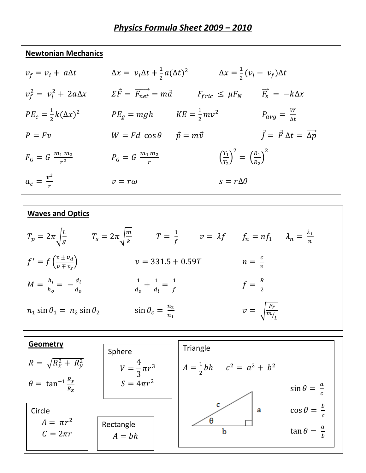## **Newtonian Mechanics**

| $v_f = v_i + a\Delta t$           |                                                        | $\Delta x = v_i \Delta t + \frac{1}{2} a (\Delta t)^2$ $\Delta x = \frac{1}{2} (v_i + v_f) \Delta t$ |                                                             |
|-----------------------------------|--------------------------------------------------------|------------------------------------------------------------------------------------------------------|-------------------------------------------------------------|
| $v_f^2 = v_i^2 + 2a\Delta x$      | $\Sigma \vec{F} = \overrightarrow{F_{net}} = m\vec{a}$ | $F_{fric} \leq \mu F_N$                                                                              | $\overrightarrow{F_s} = -k\Delta x$                         |
| $PE_e = \frac{1}{2}k(\Delta x)^2$ | $PE_g = mgh$ $KE = \frac{1}{2}mv^2$                    |                                                                                                      | $P_{avg} = \frac{W}{\Delta t}$                              |
| $P = Fv$                          | $W = Fd \cos \theta$                                   | $\vec{p} = m\vec{v}$                                                                                 | $\vec{J} = \vec{F} \, \Delta t = \overrightarrow{\Delta p}$ |
| $F_G = G \frac{m_1 m_2}{r^2}$     | $P_G = G \frac{m_1 m_2}{r}$                            | $\left(\frac{T_1}{T_2}\right)^2 = \left(\frac{R_1}{R_2}\right)^2$                                    |                                                             |
| $a_c = \frac{v^2}{r}$             | $v = r\omega$                                          | $s = r\Delta\theta$                                                                                  |                                                             |

## **Waves and Optics**  $T_p = 2\pi \sqrt{\frac{L}{a}}$  $\frac{L}{g}$   $T_s = 2\pi \sqrt{\frac{m}{k}}$  $\frac{m}{k}$   $T = \frac{1}{f}$   $v = \lambda f$   $f_n = nf_1$   $\lambda_n = \frac{\lambda_1}{n}$  $\boldsymbol{n}$  $f' = f\left(\frac{v \pm v_d}{v \mp v}\right)$  $v \mp v_{S}$  $v = 331.5 + 0.59T$   $n = \frac{c}{v}$  $\frac{c}{v}$  $M = \frac{h_i}{h_o} = -\frac{d_i}{d_o}$  $d_o$  $\frac{1}{4}$  $\frac{1}{d_o} + \frac{1}{d_i} = \frac{1}{f}$ f  $f = \frac{R}{2}$  $n_1 \sin \theta_1 = n_2 \sin \theta_2$   $\sin \theta_c = \frac{n_2}{n_1}$  $n_{1}$  $v = \sqrt{\frac{F_T}{m}}$  $m_{L}$